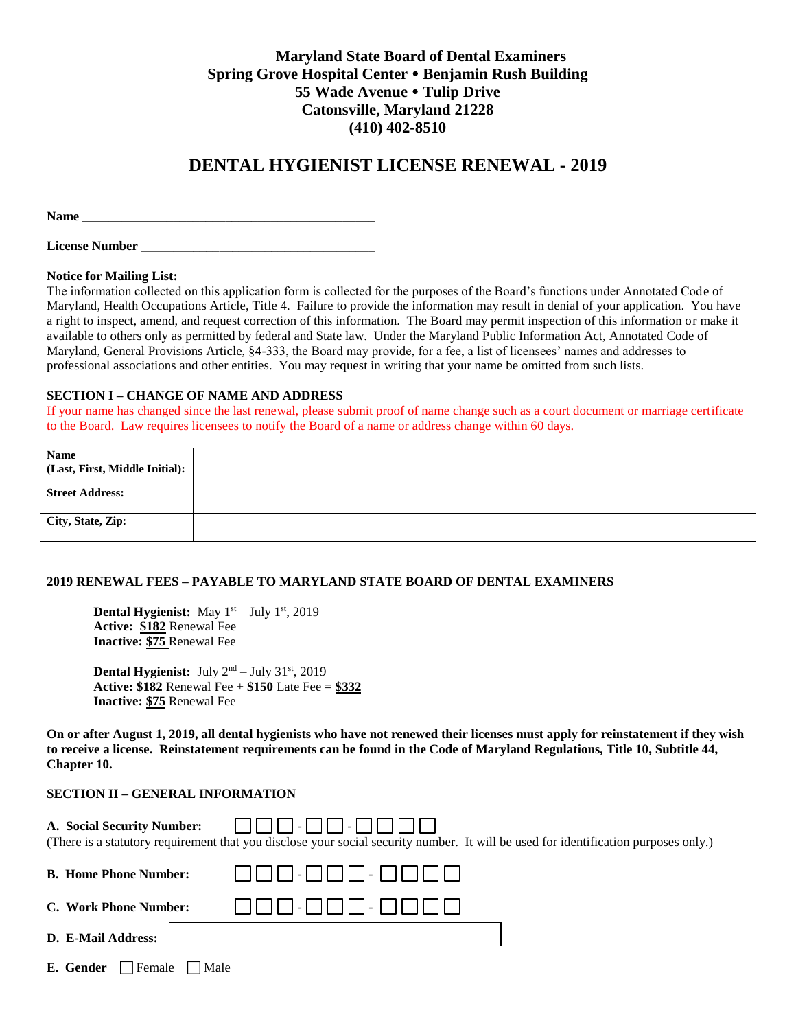# **Maryland State Board of Dental Examiners Spring Grove Hospital Center Benjamin Rush Building 55 Wade Avenue Tulip Drive Catonsville, Maryland 21228 (410) 402-8510**

# **DENTAL HYGIENIST LICENSE RENEWAL - 2019**

**Name \_\_\_\_\_\_\_\_\_\_\_\_\_\_\_\_\_\_\_\_\_\_\_\_\_\_\_\_\_\_\_\_\_\_\_\_\_\_\_\_\_\_\_\_\_**

| <b>License Number</b> |  |
|-----------------------|--|
|-----------------------|--|

#### **Notice for Mailing List:**

The information collected on this application form is collected for the purposes of the Board's functions under Annotated Code of Maryland, Health Occupations Article, Title 4. Failure to provide the information may result in denial of your application. You have a right to inspect, amend, and request correction of this information. The Board may permit inspection of this information or make it available to others only as permitted by federal and State law. Under the Maryland Public Information Act, Annotated Code of Maryland, General Provisions Article, §4-333, the Board may provide, for a fee, a list of licensees' names and addresses to professional associations and other entities. You may request in writing that your name be omitted from such lists.

#### **SECTION I – CHANGE OF NAME AND ADDRESS**

If your name has changed since the last renewal, please submit proof of name change such as a court document or marriage certificate to the Board. Law requires licensees to notify the Board of a name or address change within 60 days.

| <b>Name</b><br>(Last, First, Middle Initial): |  |
|-----------------------------------------------|--|
| <b>Street Address:</b>                        |  |
| City, State, Zip:                             |  |

#### **2019 RENEWAL FEES – PAYABLE TO MARYLAND STATE BOARD OF DENTAL EXAMINERS**

**Dental Hygienist:** May 1<sup>st</sup> – July 1<sup>st</sup>, 2019 **Active: \$182** Renewal Fee **Inactive: \$75** Renewal Fee

Dental Hygienist: July 2<sup>nd</sup> – July 31<sup>st</sup>, 2019 **Active: \$182** Renewal Fee + **\$150** Late Fee = **\$332 Inactive: \$75** Renewal Fee

**On or after August 1, 2019, all dental hygienists who have not renewed their licenses must apply for reinstatement if they wish to receive a license. Reinstatement requirements can be found in the Code of Maryland Regulations, Title 10, Subtitle 44, Chapter 10.**

# **SECTION II – GENERAL INFORMATION**

| A. Social Security Number:   | (There is a statutory requirement that you disclose your social security number. It will be used for identification purposes only.) |
|------------------------------|-------------------------------------------------------------------------------------------------------------------------------------|
| <b>B. Home Phone Number:</b> |                                                                                                                                     |
| C. Work Phone Number:        | -         -                                                                                                                         |
| D. E-Mail Address:           |                                                                                                                                     |

| <b>E. Gender</b> $\Box$ Female $\Box$ Male |  |  |  |  |
|--------------------------------------------|--|--|--|--|
|--------------------------------------------|--|--|--|--|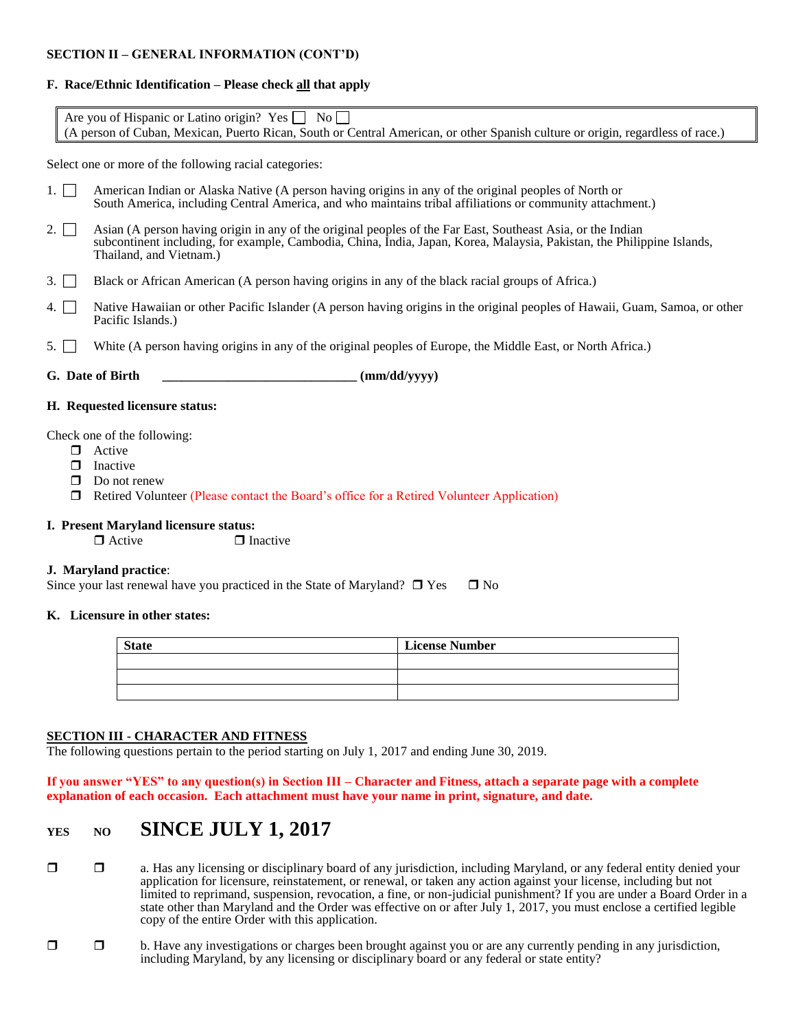# **SECTION II – GENERAL INFORMATION (CONT'D)**

# **F. Race/Ethnic Identification – Please check all that apply**

| Are you of Hispanic or Latino origin? Yes $\Box$ No $\Box$                                                                     |  |  |
|--------------------------------------------------------------------------------------------------------------------------------|--|--|
| (A person of Cuban, Mexican, Puerto Rican, South or Central American, or other Spanish culture or origin, regardless of race.) |  |  |

Select one or more of the following racial categories:

- 1. <sup>American Indian or Alaska Native</sup> (A person having origins in any of the original peoples of North or South America, including Central America, and who maintains tribal affiliations or community attachment.)
- 2.  $\Box$  Asian (A person having origin in any of the original peoples of the Far East, Southeast Asia, or the Indian subcontinent including, for example, Cambodia, China, India, Japan, Korea, Malaysia, Pakistan, the Philippine Islands, Thailand, and Vietnam.)
- 3.  $\Box$  Black or African American (A person having origins in any of the black racial groups of Africa.)
- 4. Native Hawaiian or other Pacific Islander (A person having origins in the original peoples of Hawaii, Guam, Samoa, or other Pacific Islands.)
- 5. White (A person having origins in any of the original peoples of Europe, the Middle East, or North Africa.)
- G. Date of Birth  $\text{(mm/dd/yyy)}$

#### **H. Requested licensure status:**

Check one of the following:

- **D** Active
- $\Box$  Inactive
- Do not renew
- Retired Volunteer (Please contact the Board's office for a Retired Volunteer Application)
- **I. Present Maryland licensure status:**

 $\Box$  Active  $\Box$  Inactive

## **J. Maryland practice**:

Since your last renewal have you practiced in the State of Maryland?  $\Box$  Yes  $\Box$  No

#### **K. Licensure in other states:**

| <b>State</b> | <b>License Number</b> |  |  |
|--------------|-----------------------|--|--|
|              |                       |  |  |
|              |                       |  |  |
|              |                       |  |  |

## **SECTION III - CHARACTER AND FITNESS**

The following questions pertain to the period starting on July 1, 2017 and ending June 30, 2019.

**If you answer "YES" to any question(s) in Section III – Character and Fitness, attach a separate page with a complete explanation of each occasion. Each attachment must have your name in print, signature, and date.**

# **YES NO SINCE JULY 1, 2017**

- a. Has any licensing or disciplinary board of any jurisdiction, including Maryland, or any federal entity denied your application for licensure, reinstatement, or renewal, or taken any action against your license, including but not limited to reprimand, suspension, revocation, a fine, or non-judicial punishment? If you are under a Board Order in a state other than Maryland and the Order was effective on or after July 1, 2017, you must enclose a certified legible copy of the entire Order with this application.
- $\Box$  b. Have any investigations or charges been brought against you or are any currently pending in any jurisdiction, including Maryland, by any licensing or disciplinary board or any federal or state entity?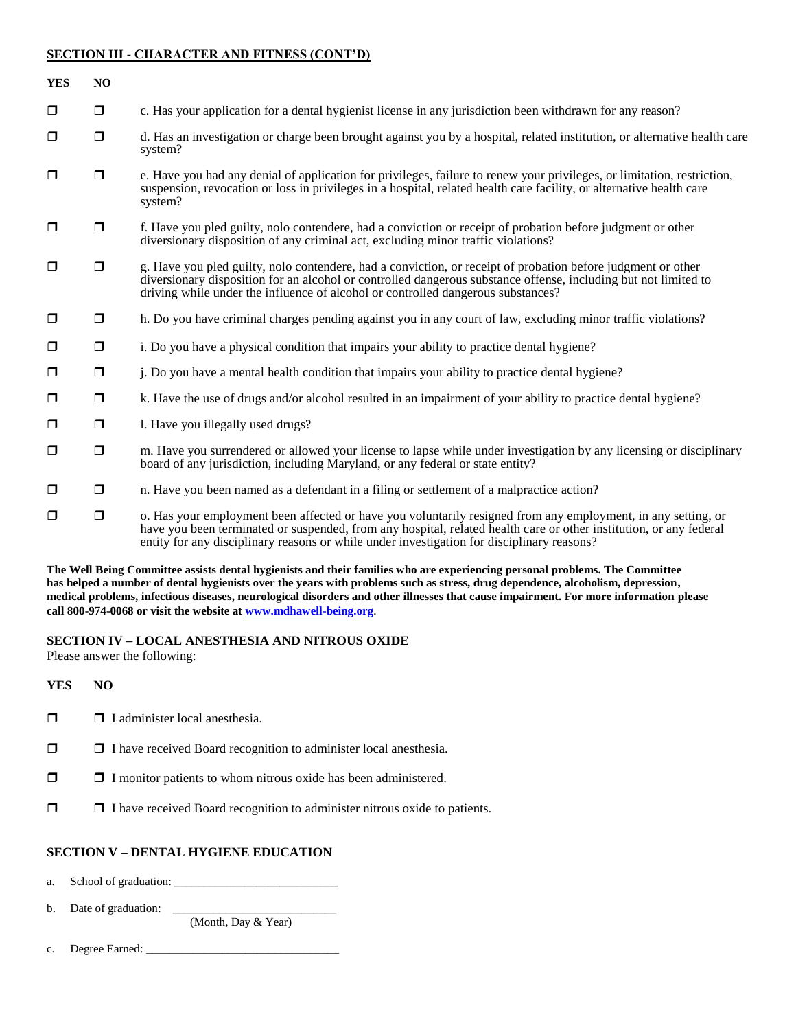## **SECTION III - CHARACTER AND FITNESS (CONT'D)**

| <b>YES</b> | NO     |                                                                                                                                                                                                                                                                                                                                   |
|------------|--------|-----------------------------------------------------------------------------------------------------------------------------------------------------------------------------------------------------------------------------------------------------------------------------------------------------------------------------------|
| $\Box$     | $\Box$ | c. Has your application for a dental hygienist license in any jurisdiction been withdrawn for any reason?                                                                                                                                                                                                                         |
| $\Box$     | $\Box$ | d. Has an investigation or charge been brought against you by a hospital, related institution, or alternative health care<br>system?                                                                                                                                                                                              |
| $\Box$     | $\Box$ | e. Have you had any denial of application for privileges, failure to renew your privileges, or limitation, restriction,<br>suspension, revocation or loss in privileges in a hospital, related health care facility, or alternative health care<br>system?                                                                        |
| $\Box$     | $\Box$ | f. Have you pled guilty, nolo contendere, had a conviction or receipt of probation before judgment or other<br>diversionary disposition of any criminal act, excluding minor traffic violations?                                                                                                                                  |
| $\Box$     | $\Box$ | g. Have you pled guilty, nolo contendere, had a conviction, or receipt of probation before judgment or other<br>diversionary disposition for an alcohol or controlled dangerous substance offense, including but not limited to<br>driving while under the influence of alcohol or controlled dangerous substances?               |
| $\Box$     | $\Box$ | h. Do you have criminal charges pending against you in any court of law, excluding minor traffic violations?                                                                                                                                                                                                                      |
| $\Box$     | $\Box$ | i. Do you have a physical condition that impairs your ability to practice dental hygiene?                                                                                                                                                                                                                                         |
| $\Box$     | $\Box$ | <i>i</i> . Do you have a mental health condition that impairs your ability to practice dental hygiene?                                                                                                                                                                                                                            |
| $\Box$     | $\Box$ | k. Have the use of drugs and/or alcohol resulted in an impairment of your ability to practice dental hygiene?                                                                                                                                                                                                                     |
| $\Box$     | $\Box$ | 1. Have you illegally used drugs?                                                                                                                                                                                                                                                                                                 |
| $\Box$     | $\Box$ | m. Have you surrendered or allowed your license to lapse while under investigation by any licensing or disciplinary<br>board of any jurisdiction, including Maryland, or any federal or state entity?                                                                                                                             |
| $\Box$     | $\Box$ | n. Have you been named as a defendant in a filing or settlement of a malpractice action?                                                                                                                                                                                                                                          |
| $\Box$     | $\Box$ | o. Has your employment been affected or have you voluntarily resigned from any employment, in any setting, or<br>have you been terminated or suspended, from any hospital, related health care or other institution, or any federal<br>entity for any disciplinary reasons or while under investigation for disciplinary reasons? |

**The Well Being Committee assists dental hygienists and their families who are experiencing personal problems. The Committee has helped a number of dental hygienists over the years with problems such as stress, drug dependence, alcoholism, depression, medical problems, infectious diseases, neurological disorders and other illnesses that cause impairment. For more information please call 800-974-0068 or visit the website a[t www.mdhawell-being.org](http://www.mdhawell-being.org/)**.

## **SECTION IV – LOCAL ANESTHESIA AND NITROUS OXIDE**

Please answer the following:

**YES NO**

- $\Box$  I administer local anesthesia.
- $\Box$   $\Box$  I have received Board recognition to administer local anesthesia.
- $\Box$   $\Box$  I monitor patients to whom nitrous oxide has been administered.
- I have received Board recognition to administer nitrous oxide to patients.

## **SECTION V – DENTAL HYGIENE EDUCATION**

a. School of graduation: \_\_\_\_\_\_\_\_\_\_\_\_\_\_\_\_\_\_\_\_\_\_\_\_\_\_\_\_

b. Date of graduation: \_\_\_\_\_\_\_\_\_\_\_\_\_\_\_\_\_\_\_\_\_\_\_\_\_\_\_\_

(Month, Day & Year)

c. Degree Earned: \_\_\_\_\_\_\_\_\_\_\_\_\_\_\_\_\_\_\_\_\_\_\_\_\_\_\_\_\_\_\_\_\_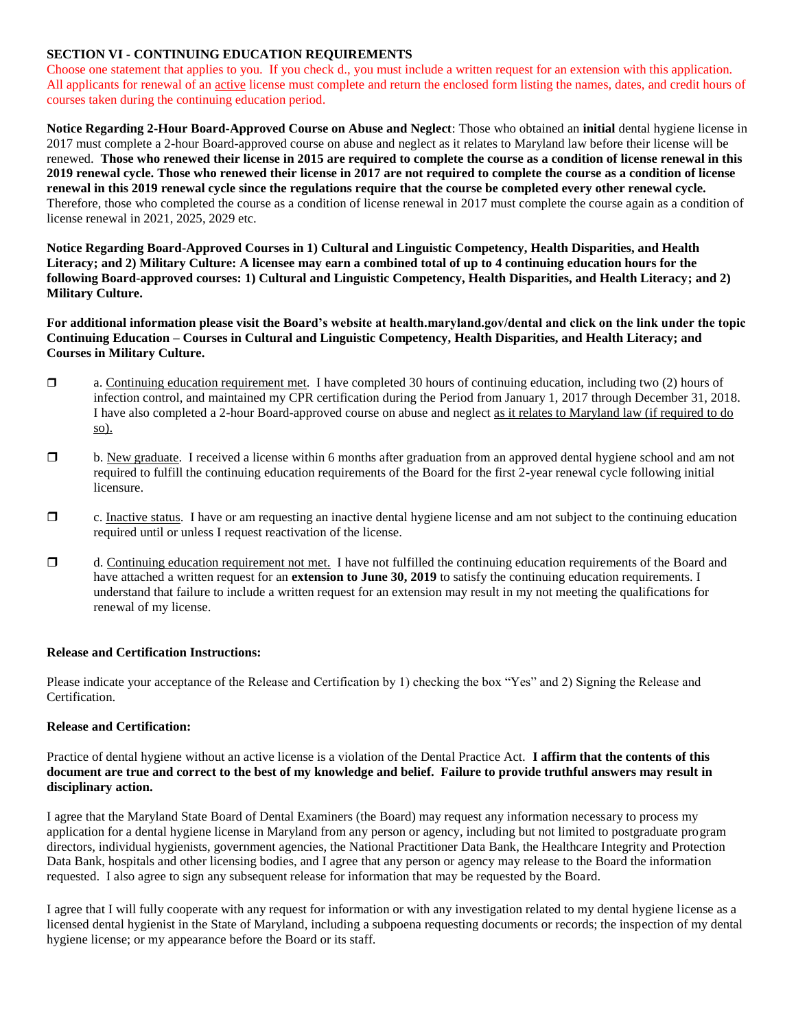### **SECTION VI - CONTINUING EDUCATION REQUIREMENTS**

Choose one statement that applies to you. If you check d., you must include a written request for an extension with this application. All applicants for renewal of an active license must complete and return the enclosed form listing the names, dates, and credit hours of courses taken during the continuing education period.

**Notice Regarding 2-Hour Board-Approved Course on Abuse and Neglect**: Those who obtained an **initial** dental hygiene license in 2017 must complete a 2-hour Board-approved course on abuse and neglect as it relates to Maryland law before their license will be renewed. **Those who renewed their license in 2015 are required to complete the course as a condition of license renewal in this 2019 renewal cycle. Those who renewed their license in 2017 are not required to complete the course as a condition of license renewal in this 2019 renewal cycle since the regulations require that the course be completed every other renewal cycle.** Therefore, those who completed the course as a condition of license renewal in 2017 must complete the course again as a condition of license renewal in 2021, 2025, 2029 etc.

**Notice Regarding Board-Approved Courses in 1) Cultural and Linguistic Competency, Health Disparities, and Health Literacy; and 2) Military Culture: A licensee may earn a combined total of up to 4 continuing education hours for the following Board-approved courses: 1) Cultural and Linguistic Competency, Health Disparities, and Health Literacy; and 2) Military Culture.**

**For additional information please visit the Board's website at health.maryland.gov/dental and click on the link under the topic Continuing Education – Courses in Cultural and Linguistic Competency, Health Disparities, and Health Literacy; and Courses in Military Culture.**

- $\Box$  a. Continuing education requirement met. I have completed 30 hours of continuing education, including two (2) hours of infection control, and maintained my CPR certification during the Period from January 1, 2017 through December 31, 2018. I have also completed a 2-hour Board-approved course on abuse and neglect as it relates to Maryland law (if required to do so).
- **D** b. New graduate. I received a license within 6 months after graduation from an approved dental hygiene school and am not required to fulfill the continuing education requirements of the Board for the first 2-year renewal cycle following initial licensure.
- $\Box$  c. Inactive status. I have or am requesting an inactive dental hygiene license and am not subject to the continuing education required until or unless I request reactivation of the license.
- $\Box$  d. Continuing education requirement not met. I have not fulfilled the continuing education requirements of the Board and have attached a written request for an **extension to June 30, 2019** to satisfy the continuing education requirements. I understand that failure to include a written request for an extension may result in my not meeting the qualifications for renewal of my license.

#### **Release and Certification Instructions:**

Please indicate your acceptance of the Release and Certification by 1) checking the box "Yes" and 2) Signing the Release and Certification.

#### **Release and Certification:**

Practice of dental hygiene without an active license is a violation of the Dental Practice Act. **I affirm that the contents of this document are true and correct to the best of my knowledge and belief. Failure to provide truthful answers may result in disciplinary action.** 

I agree that the Maryland State Board of Dental Examiners (the Board) may request any information necessary to process my application for a dental hygiene license in Maryland from any person or agency, including but not limited to postgraduate program directors, individual hygienists, government agencies, the National Practitioner Data Bank, the Healthcare Integrity and Protection Data Bank, hospitals and other licensing bodies, and I agree that any person or agency may release to the Board the information requested. I also agree to sign any subsequent release for information that may be requested by the Board.

I agree that I will fully cooperate with any request for information or with any investigation related to my dental hygiene license as a licensed dental hygienist in the State of Maryland, including a subpoena requesting documents or records; the inspection of my dental hygiene license; or my appearance before the Board or its staff.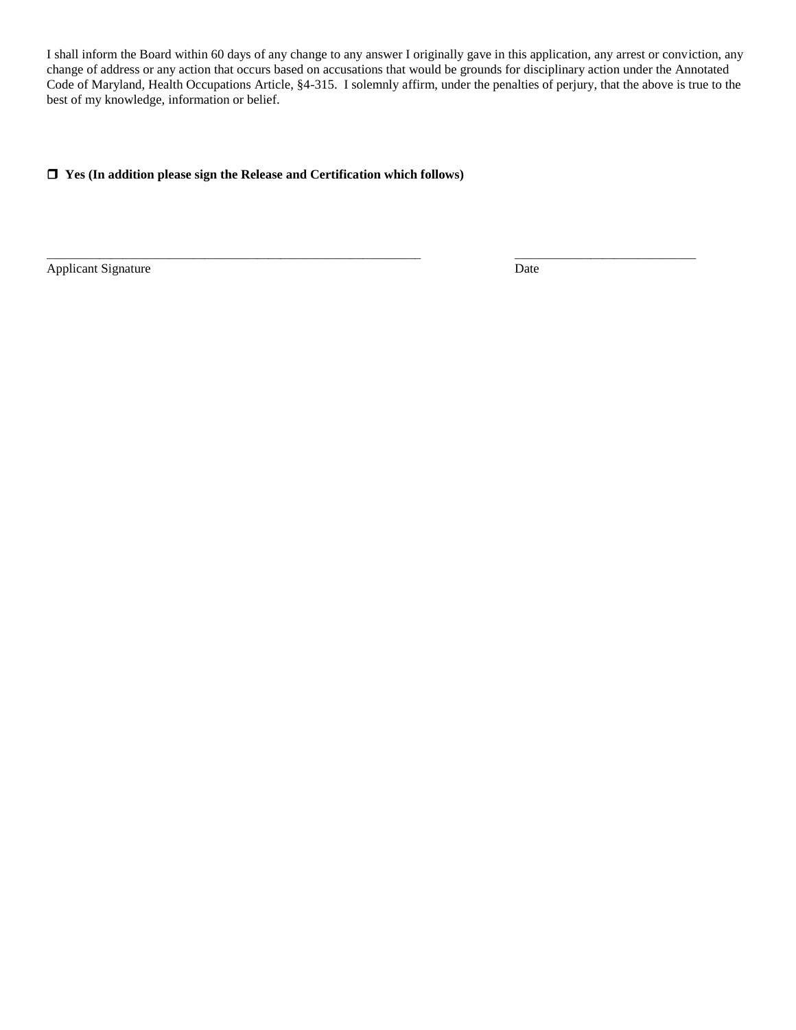I shall inform the Board within 60 days of any change to any answer I originally gave in this application, any arrest or conviction, any change of address or any action that occurs based on accusations that would be grounds for disciplinary action under the Annotated Code of Maryland, Health Occupations Article, §4-315. I solemnly affirm, under the penalties of perjury, that the above is true to the best of my knowledge, information or belief.

 $\overline{\phantom{a}}$  , and the set of the set of the set of the set of the set of the set of the set of the set of the set of the set of the set of the set of the set of the set of the set of the set of the set of the set of the s

# **Yes (In addition please sign the Release and Certification which follows)**

Applicant Signature Date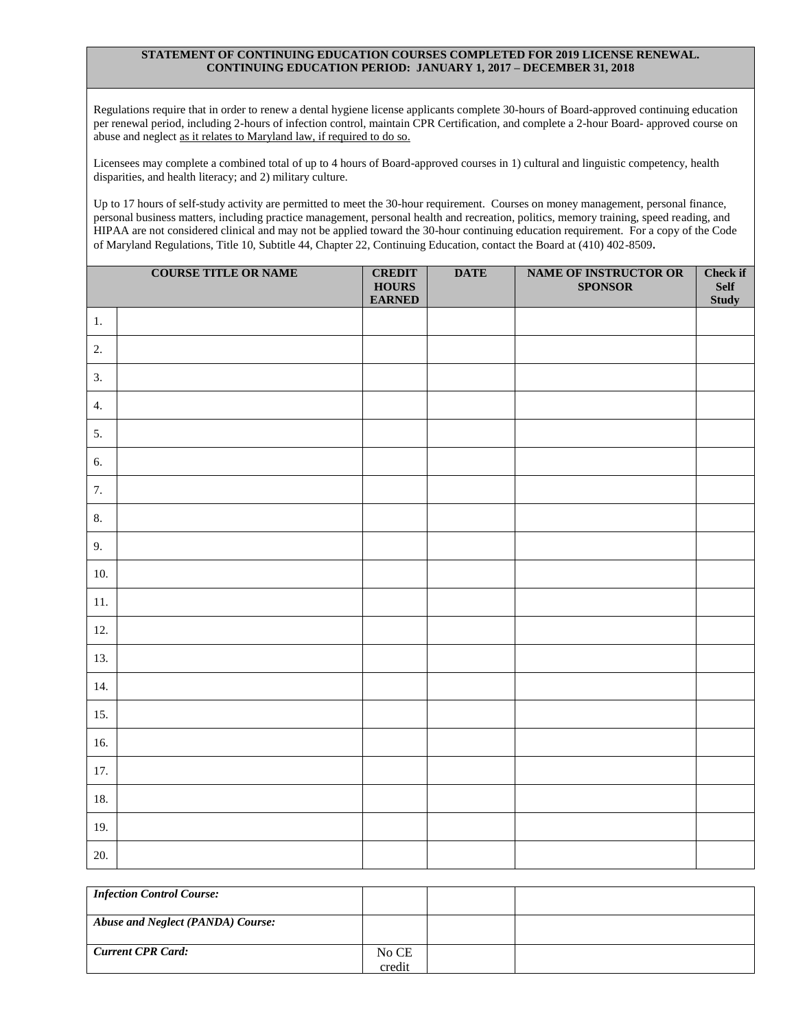#### **STATEMENT OF CONTINUING EDUCATION COURSES COMPLETED FOR 2019 LICENSE RENEWAL. CONTINUING EDUCATION PERIOD: JANUARY 1, 2017 – DECEMBER 31, 2018**

Regulations require that in order to renew a dental hygiene license applicants complete 30-hours of Board-approved continuing education per renewal period, including 2-hours of infection control, maintain CPR Certification, and complete a 2-hour Board- approved course on abuse and neglect as it relates to Maryland law, if required to do so.

Licensees may complete a combined total of up to 4 hours of Board-approved courses in 1) cultural and linguistic competency, health disparities, and health literacy; and 2) military culture.

Up to 17 hours of self-study activity are permitted to meet the 30-hour requirement. Courses on money management, personal finance, personal business matters, including practice management, personal health and recreation, politics, memory training, speed reading, and HIPAA are not considered clinical and may not be applied toward the 30-hour continuing education requirement. For a copy of the Code of Maryland Regulations, Title 10, Subtitle 44, Chapter 22, Continuing Education, contact the Board at (410) 402-8509.

|                  | <b>COURSE TITLE OR NAME</b> | <b>CREDIT</b><br><b>HOURS</b><br><b>EARNED</b> | <b>DATE</b> | NAME OF INSTRUCTOR OR<br><b>SPONSOR</b> | <b>Check if</b><br><b>Self</b><br><b>Study</b> |
|------------------|-----------------------------|------------------------------------------------|-------------|-----------------------------------------|------------------------------------------------|
| 1.               |                             |                                                |             |                                         |                                                |
| 2.               |                             |                                                |             |                                         |                                                |
| 3.               |                             |                                                |             |                                         |                                                |
| $\overline{4}$ . |                             |                                                |             |                                         |                                                |
| 5.               |                             |                                                |             |                                         |                                                |
| 6.               |                             |                                                |             |                                         |                                                |
| 7.               |                             |                                                |             |                                         |                                                |
| 8.               |                             |                                                |             |                                         |                                                |
| 9.               |                             |                                                |             |                                         |                                                |
| 10.              |                             |                                                |             |                                         |                                                |
| $11.$            |                             |                                                |             |                                         |                                                |
| 12.              |                             |                                                |             |                                         |                                                |
| 13.              |                             |                                                |             |                                         |                                                |
| 14.              |                             |                                                |             |                                         |                                                |
| 15.              |                             |                                                |             |                                         |                                                |
| 16.              |                             |                                                |             |                                         |                                                |
| 17.              |                             |                                                |             |                                         |                                                |
| 18.              |                             |                                                |             |                                         |                                                |
| 19.              |                             |                                                |             |                                         |                                                |
| 20.              |                             |                                                |             |                                         |                                                |

| <b>Infection Control Course:</b>  |                 |  |
|-----------------------------------|-----------------|--|
| Abuse and Neglect (PANDA) Course: |                 |  |
| <b>Current CPR Card:</b>          | No CE<br>credit |  |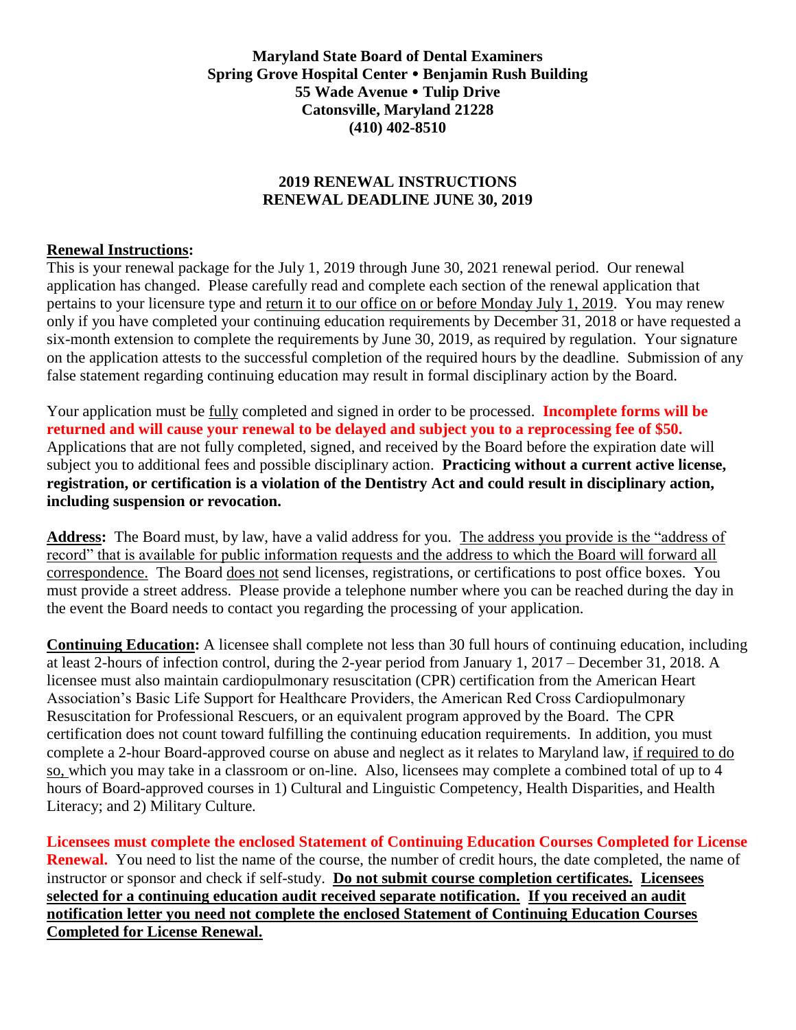**Maryland State Board of Dental Examiners Spring Grove Hospital Center Benjamin Rush Building 55 Wade Avenue Tulip Drive Catonsville, Maryland 21228 (410) 402-8510**

# **2019 RENEWAL INSTRUCTIONS RENEWAL DEADLINE JUNE 30, 2019**

# **Renewal Instructions:**

This is your renewal package for the July 1, 2019 through June 30, 2021 renewal period. Our renewal application has changed. Please carefully read and complete each section of the renewal application that pertains to your licensure type and return it to our office on or before Monday July 1, 2019. You may renew only if you have completed your continuing education requirements by December 31, 2018 or have requested a six-month extension to complete the requirements by June 30, 2019, as required by regulation. Your signature on the application attests to the successful completion of the required hours by the deadline. Submission of any false statement regarding continuing education may result in formal disciplinary action by the Board.

Your application must be fully completed and signed in order to be processed. **Incomplete forms will be returned and will cause your renewal to be delayed and subject you to a reprocessing fee of \$50.** Applications that are not fully completed, signed, and received by the Board before the expiration date will subject you to additional fees and possible disciplinary action. **Practicing without a current active license, registration, or certification is a violation of the Dentistry Act and could result in disciplinary action, including suspension or revocation.**

**Address:** The Board must, by law, have a valid address for you. The address you provide is the "address of record" that is available for public information requests and the address to which the Board will forward all correspondence. The Board does not send licenses, registrations, or certifications to post office boxes. You must provide a street address. Please provide a telephone number where you can be reached during the day in the event the Board needs to contact you regarding the processing of your application.

**Continuing Education:** A licensee shall complete not less than 30 full hours of continuing education, including at least 2-hours of infection control, during the 2-year period from January 1, 2017 – December 31, 2018. A licensee must also maintain cardiopulmonary resuscitation (CPR) certification from the American Heart Association's Basic Life Support for Healthcare Providers, the American Red Cross Cardiopulmonary Resuscitation for Professional Rescuers, or an equivalent program approved by the Board. The CPR certification does not count toward fulfilling the continuing education requirements. In addition, you must complete a 2-hour Board-approved course on abuse and neglect as it relates to Maryland law, if required to do so, which you may take in a classroom or on-line. Also, licensees may complete a combined total of up to 4 hours of Board-approved courses in 1) Cultural and Linguistic Competency, Health Disparities, and Health Literacy; and 2) Military Culture.

**Licensees must complete the enclosed Statement of Continuing Education Courses Completed for License Renewal.** You need to list the name of the course, the number of credit hours, the date completed, the name of instructor or sponsor and check if self-study. **Do not submit course completion certificates. Licensees selected for a continuing education audit received separate notification. If you received an audit notification letter you need not complete the enclosed Statement of Continuing Education Courses Completed for License Renewal.**